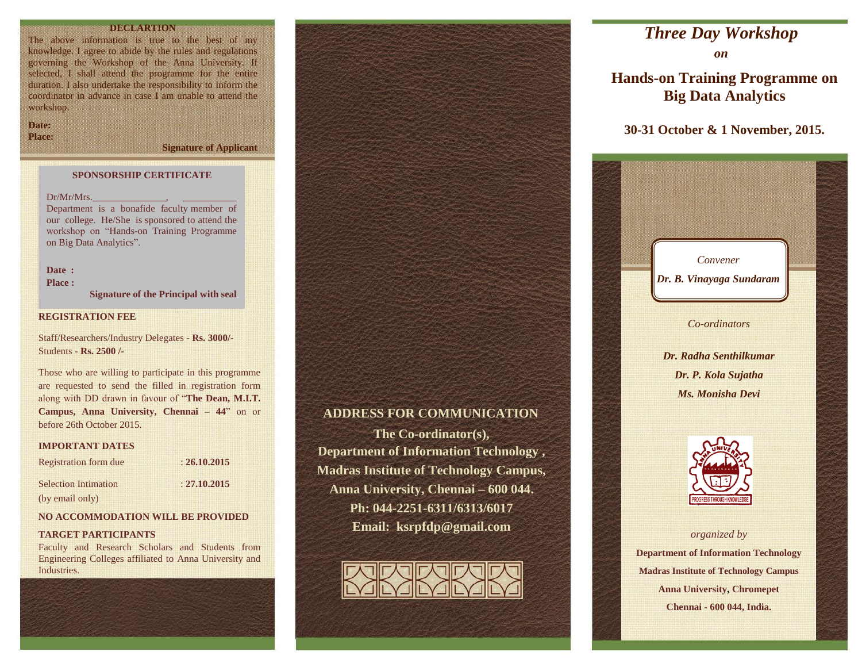# **DECEMBER**

The above information is true to the best of my knowledge. I agree to abide by the rules and regulations governing the Workshop of the Anna University. If selected, I shall attend the programme for the entire duration. I also undertake the responsibility to inform the coordinator in advance in case I am unable to attend the workshop.

**Date: Place:**

**Signature of Applicant**

# **SPONSORSHIP CERTIFICATE**

 $Dr/Mr/Mrs$ .

Department is a bonafide faculty member of our college. He/She is sponsored to attend the workshop on "Hands-on Training Programme on Big Data Analytics".

# Date : **Place :**

**Signature of the Principal with seal**

## **REGISTRATION FEE**

Staff/Researchers/Industry Delegates - **Rs. 3000/-** Students - **Rs. 2500 /-**

Those who are willing to participate in this programme are requested to send the filled in registration form along with DD drawn in favour of "**The Dean, M.I.T. Campus, Anna University, Chennai – 44**" on or before 26th October 2015.

#### **IMPORTANT DATES**

| <b>Registration form due</b> | : 26.10.2015 |  |
|------------------------------|--------------|--|
| <b>Selection Intimation</b>  | : 27.10.2015 |  |
| (by email only)              |              |  |

## **NO ACCOMMODATION WILL BE PROVIDED**

#### **TARGET PARTICIPANTS**

Faculty and Research Scholars and Students from Engineering Colleges affiliated to Anna University and Industries.



# **ADDRESS FOR COMMUNICATION**

**The Co-ordinator(s), Department of Information Technology , Madras Institute of Technology Campus, Anna University, Chennai – 600 044. Ph: 044-2251-6311/6313/6017 Email: ksrpfdp@gmail.com**



# *Three Day Workshop*

*on*

**Hands-on Training Programme on Big Data Analytics**

# **30-31 October & 1 November, 2015.**



**Madras Institute of Technology Campus Anna University, Chromepet Chennai - 600 044, India.**